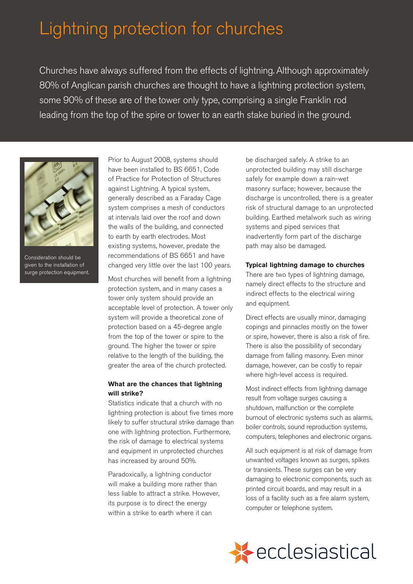# Lightning protection for churches

Churches have always suffered from the effects of lightning. Although approximately 80% of Anglican parish churches are thought to have a lightning protection system, some 90% of these are of the tower only type, comprising a single Franklin rod leading from the top of the spire or tower to an earth stake buried in the ground.



Consideration should be given to the installation of surge protection equipment.

Prior to August 2008, systems should have been installed to BS 6651, Code of Practice for Protection of Structures against Lightning. A typical system, generally described as a Faraday Cage system comprises a mesh of conductors at intervals laid over the roof and down the walls of the building, and connected to earth by earth electrodes. Most existing systems, however, predate the recommendations of BS 6651 and have changed very little over the last 100 years.

Most churches will benefit from a lightning protection system, and in many cases a tower only system should provide an acceptable level of protection. A tower only system will provide a theoretical zone of protection based on a 45-degree angle from the top of the tower or spire to the ground. The higher the tower or spire relative to the length of the building, the greater the area of the church protected.

# **What are the chances that lightning will strike?**

lightning protection is about five times more likely to suffer structural strike damage than Statistics indicate that a church with no one with lightning protection. Furthermore, the risk of damage to electrical systems and equipment in unprotected churches has increased by around 50%.

 Paradoxically, a lightning conductor will make a building more rather than less liable to attract a strike. However, its purpose is to direct the energy within a strike to earth where it can

 be discharged safely. A strike to an unprotected building may still discharge safely for example down a rain-wet masonry surface; however, because the discharge is uncontrolled, there is a greater risk of structural damage to an unprotected building. Earthed metalwork such as wiring systems and piped services that inadvertently form part of the discharge path may also be damaged.

## **Typical lightning damage to churches**

There are two types of lightning damage, namely direct effects to the structure and indirect effects to the electrical wiring and equipment.

 Direct effects are usually minor, damaging copings and pinnacles mostly on the tower or spire, however, there is also a risk of fire. There is also the possibility of secondary damage from falling masonry. Even minor damage, however, can be costly to repair where high-level access is required.

 Most indirect effects from lightning damage result from voltage surges causing a shutdown, malfunction or the complete burnout of electronic systems such as alarms, boiler controls, sound reproduction systems, computers, telephones and electronic organs.

 All such equipment is at risk of damage from unwanted voltages known as surges, spikes or transients. These surges can be very damaging to electronic components, such as printed circuit boards, and may result in a loss of a facility such as a fire alarm system, computer or telephone system.

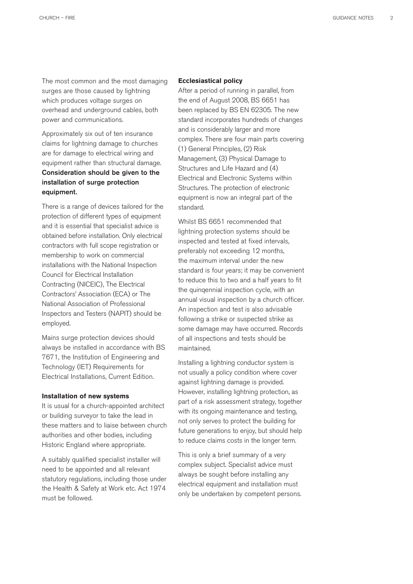The most common and the most damaging surges are those caused by lightning which produces voltage surges on overhead and underground cables, both power and communications.

Approximately six out of ten insurance claims for lightning damage to churches are for damage to electrical wiring and equipment rather than structural damage. Consideration should be given to the installation of surge protection equipment.

 There is a range of devices tailored for the protection of different types of equipment and it is essential that specialist advice is obtained before installation. Only electrical contractors with full scope registration or membership to work on commercial installations with the National Inspection Council for Electrical Installation Contracting (NICEIC), The Electrical Contractors' Association (ECA) or The National Association of Professional Inspectors and Testers (NAPIT) should be employed.

 Mains surge protection devices should always be installed in accordance with BS 7671, the Institution of Engineering and Technology (IET) Requirements for Electrical Installations, Current Edition.

#### **Installation of new systems**

It is usual for a church-appointed architect or building surveyor to take the lead in these matters and to liaise between church authorities and other bodies, including Historic England where appropriate.

A suitably qualifed specialist installer will need to be appointed and all relevant statutory regulations, including those under the Health & Safety at Work etc. Act 1974 must be followed.

#### **Ecclesiastical policy**

 After a period of running in parallel, from the end of August 2008, BS 6651 has been replaced by BS EN 62305. The new standard incorporates hundreds of changes and is considerably larger and more complex. There are four main parts covering (1) General Principles, (2) Risk Management, (3) Physical Damage to Structures and Life Hazard and (4) Electrical and Electronic Systems within Structures. The protection of electronic equipment is now an integral part of the standard.

Whilst BS 6651 recommended that lightning protection systems should be inspected and tested at fixed intervals. preferably not exceeding 12 months, the maximum interval under the new standard is four years; it may be convenient to reduce this to two and a half years to fit the quinqennial inspection cycle, with an annual visual inspection by a church officer. An inspection and test is also advisable following a strike or suspected strike as some damage may have occurred. Records of all inspections and tests should be maintained.

 Installing a lightning conductor system is not usually a policy condition where cover against lightning damage is provided. However, installing lightning protection, as part of a risk assessment strategy, together with its ongoing maintenance and testing, not only serves to protect the building for future generations to enjoy, but should help to reduce claims costs in the longer term.

This is only a brief summary of a very complex subject. Specialist advice must always be sought before installing any electrical equipment and installation must only be undertaken by competent persons.